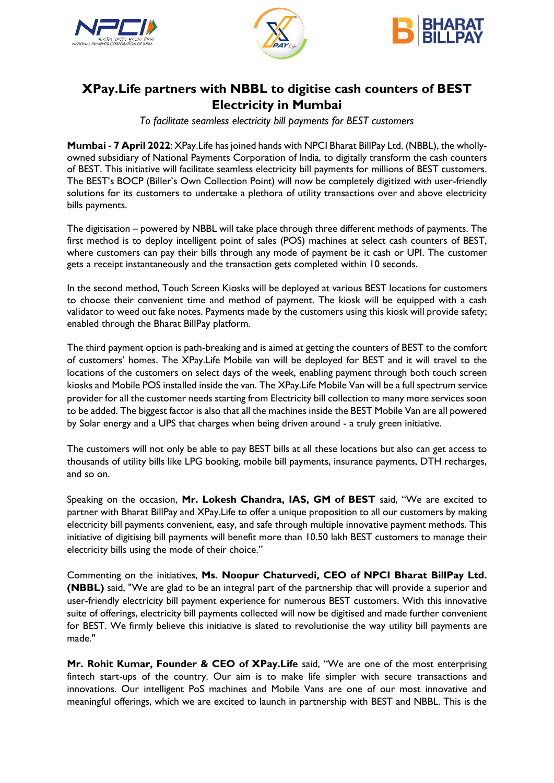





## **XPay.Life partners with NBBL to digitise cash counters of BEST Electricity in Mumbai**

*To facilitate seamless electricity bill payments for BEST customers*

**Mumbai - 7 April 2022**: XPay.Life has joined hands with NPCI Bharat BillPay Ltd. (NBBL), the whollyowned subsidiary of National Payments Corporation of India, to digitally transform the cash counters of BEST. This initiative will facilitate seamless electricity bill payments for millions of BEST customers. The BEST's BOCP (Biller's Own Collection Point) will now be completely digitized with user-friendly solutions for its customers to undertake a plethora of utility transactions over and above electricity bills payments.

The digitisation – powered by NBBL will take place through three different methods of payments. The first method is to deploy intelligent point of sales (POS) machines at select cash counters of BEST, where customers can pay their bills through any mode of payment be it cash or UPI. The customer gets a receipt instantaneously and the transaction gets completed within 10 seconds.

In the second method, Touch Screen Kiosks will be deployed at various BEST locations for customers to choose their convenient time and method of payment. The kiosk will be equipped with a cash validator to weed out fake notes. Payments made by the customers using this kiosk will provide safety; enabled through the Bharat BillPay platform.

The third payment option is path-breaking and is aimed at getting the counters of BEST to the comfort of customers' homes. The XPay.Life Mobile van will be deployed for BEST and it will travel to the locations of the customers on select days of the week, enabling payment through both touch screen kiosks and Mobile POS installed inside the van. The XPay.Life Mobile Van will be a full spectrum service provider for all the customer needs starting from Electricity bill collection to many more services soon to be added. The biggest factor is also that all the machines inside the BEST Mobile Van are all powered by Solar energy and a UPS that charges when being driven around - a truly green initiative.

The customers will not only be able to pay BEST bills at all these locations but also can get access to thousands of utility bills like LPG booking, mobile bill payments, insurance payments, DTH recharges, and so on.

Speaking on the occasion, **Mr. Lokesh Chandra, IAS, GM of BEST** said, "We are excited to partner with Bharat BillPay and XPay.Life to offer a unique proposition to all our customers by making electricity bill payments convenient, easy, and safe through multiple innovative payment methods. This initiative of digitising bill payments will benefit more than 10.50 lakh BEST customers to manage their electricity bills using the mode of their choice."

Commenting on the initiatives, **Ms. Noopur Chaturvedi, CEO of NPCI Bharat BillPay Ltd. (NBBL)** said, "We are glad to be an integral part of the partnership that will provide a superior and user-friendly electricity bill payment experience for numerous BEST customers. With this innovative suite of offerings, electricity bill payments collected will now be digitised and made further convenient for BEST. We firmly believe this initiative is slated to revolutionise the way utility bill payments are made."

**Mr. Rohit Kumar, Founder & CEO of XPay.Life** said, "We are one of the most enterprising fintech start-ups of the country. Our aim is to make life simpler with secure transactions and innovations. Our intelligent PoS machines and Mobile Vans are one of our most innovative and meaningful offerings, which we are excited to launch in partnership with BEST and NBBL. This is the